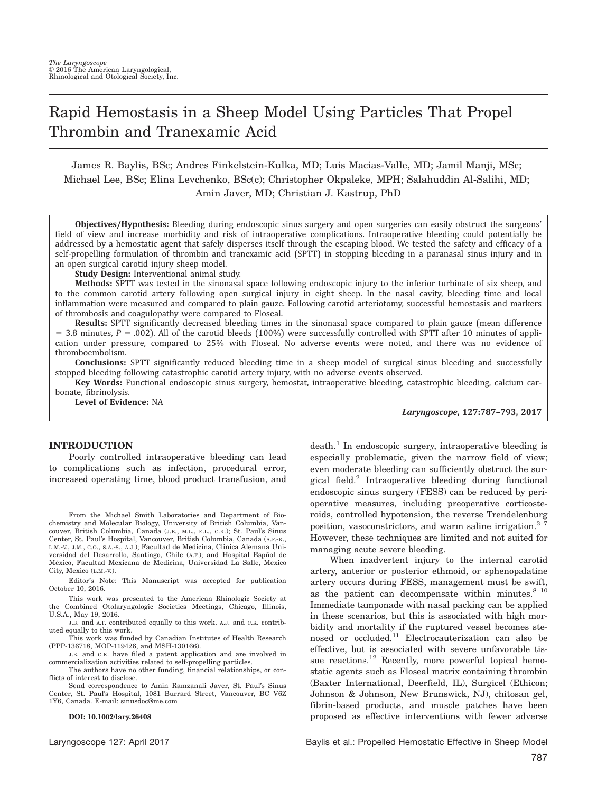# Rapid Hemostasis in a Sheep Model Using Particles That Propel Thrombin and Tranexamic Acid

James R. Baylis, BSc; Andres Finkelstein-Kulka, MD; Luis Macias-Valle, MD; Jamil Manji, MSc; Michael Lee, BSc; Elina Levchenko, BSc(c); Christopher Okpaleke, MPH; Salahuddin Al-Salihi, MD; Amin Javer, MD; Christian J. Kastrup, PhD

Objectives/Hypothesis: Bleeding during endoscopic sinus surgery and open surgeries can easily obstruct the surgeons' field of view and increase morbidity and risk of intraoperative complications. Intraoperative bleeding could potentially be addressed by a hemostatic agent that safely disperses itself through the escaping blood. We tested the safety and efficacy of a self-propelling formulation of thrombin and tranexamic acid (SPTT) in stopping bleeding in a paranasal sinus injury and in an open surgical carotid injury sheep model.

Study Design: Interventional animal study.

Methods: SPTT was tested in the sinonasal space following endoscopic injury to the inferior turbinate of six sheep, and to the common carotid artery following open surgical injury in eight sheep. In the nasal cavity, bleeding time and local inflammation were measured and compared to plain gauze. Following carotid arteriotomy, successful hemostasis and markers of thrombosis and coagulopathy were compared to Floseal.

Results: SPTT significantly decreased bleeding times in the sinonasal space compared to plain gauze (mean difference  $=$  3.8 minutes,  $P = .002$ ). All of the carotid bleeds (100%) were successfully controlled with SPTT after 10 minutes of application under pressure, compared to 25% with Floseal. No adverse events were noted, and there was no evidence of thromboembolism.

Conclusions: SPTT significantly reduced bleeding time in a sheep model of surgical sinus bleeding and successfully stopped bleeding following catastrophic carotid artery injury, with no adverse events observed.

Key Words: Functional endoscopic sinus surgery, hemostat, intraoperative bleeding, catastrophic bleeding, calcium carbonate, fibrinolysis.

Level of Evidence: NA

Laryngoscope, 127:787–793, 2017

## INTRODUCTION

Poorly controlled intraoperative bleeding can lead to complications such as infection, procedural error, increased operating time, blood product transfusion, and

This work was presented to the American Rhinologic Society at the Combined Otolaryngologic Societies Meetings, Chicago, Illinois, U.S.A., May 19, 2016.

J.B. and A.F. contributed equally to this work. A.J. and C.K. contributed equally to this work.

This work was funded by Canadian Institutes of Health Research (PPP-136718, MOP-119426, and MSH-130166).

J.B. and C.K. have filed a patent application and are involved in commercialization activities related to self-propelling particles.

The authors have no other funding, financial relationships, or conflicts of interest to disclose.

Send correspondence to Amin Ramzanali Javer, St. Paul's Sinus Center, St. Paul's Hospital, 1081 Burrard Street, Vancouver, BC V6Z 1Y6, Canada. E-mail: sinusdoc@me.com

#### DOI: 10.1002/lary.26408

 $death<sup>1</sup>$  In endoscopic surgery, intraoperative bleeding is especially problematic, given the narrow field of view; even moderate bleeding can sufficiently obstruct the surgical field.2 Intraoperative bleeding during functional endoscopic sinus surgery (FESS) can be reduced by perioperative measures, including preoperative corticosteroids, controlled hypotension, the reverse Trendelenburg position, vasoconstrictors, and warm saline irrigation. $3-7$ However, these techniques are limited and not suited for managing acute severe bleeding.

When inadvertent injury to the internal carotid artery, anterior or posterior ethmoid, or sphenopalatine artery occurs during FESS, management must be swift, as the patient can decompensate within minutes. $8-10$ Immediate tamponade with nasal packing can be applied in these scenarios, but this is associated with high morbidity and mortality if the ruptured vessel becomes stenosed or occluded.<sup>11</sup> Electrocauterization can also be effective, but is associated with severe unfavorable tissue reactions.<sup>12</sup> Recently, more powerful topical hemostatic agents such as Floseal matrix containing thrombin (Baxter International, Deerfield, IL), Surgicel (Ethicon; Johnson & Johnson, New Brunswick, NJ), chitosan gel, fibrin-based products, and muscle patches have been proposed as effective interventions with fewer adverse

From the Michael Smith Laboratories and Department of Biochemistry and Molecular Biology, University of British Columbia, Vancouver, British Columbia, Canada (J.B., M.L., E.L., C.K.); St. Paul's Sinus Center, St. Paul's Hospital, Vancouver, British Columbia, Canada (A.F.-K., L.M.-V., J.M., C.O., S.A.-S., A.J.); Facultad de Medicina, Clinica Alemana Universidad del Desarrollo, Santiago, Chile (A.F.); and Hospital Espñol de<br>México, Facultad Mexicana de Medicina, Universidad La Salle, Mexico City, Mexico (L.M.-V.).

Editor's Note: This Manuscript was accepted for publication October 10, 2016.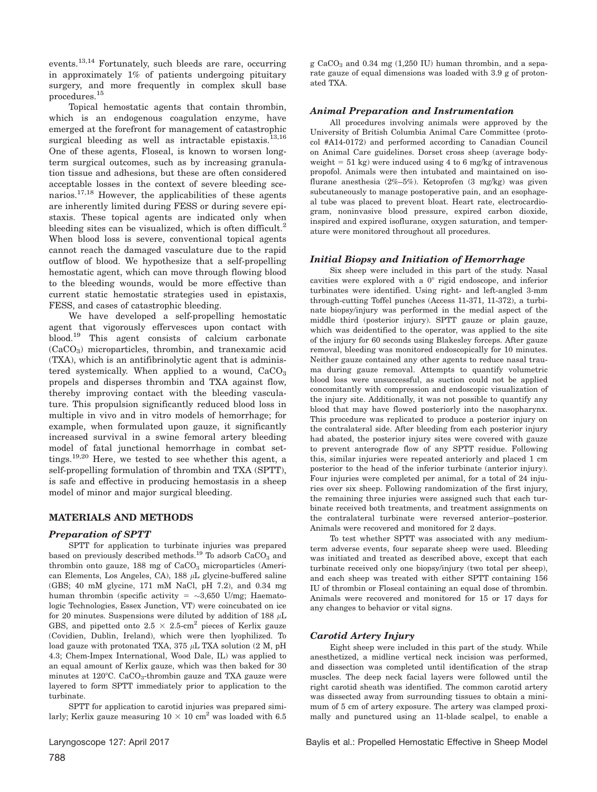events.13,14 Fortunately, such bleeds are rare, occurring in approximately 1% of patients undergoing pituitary surgery, and more frequently in complex skull base procedures.<sup>15</sup>

Topical hemostatic agents that contain thrombin, which is an endogenous coagulation enzyme, have emerged at the forefront for management of catastrophic surgical bleeding as well as intractable epistaxis.<sup>13,16</sup> One of these agents, Floseal, is known to worsen longterm surgical outcomes, such as by increasing granulation tissue and adhesions, but these are often considered acceptable losses in the context of severe bleeding scenarios.17,18 However, the applicabilities of these agents are inherently limited during FESS or during severe epistaxis. These topical agents are indicated only when bleeding sites can be visualized, which is often difficult.<sup>2</sup> When blood loss is severe, conventional topical agents cannot reach the damaged vasculature due to the rapid outflow of blood. We hypothesize that a self-propelling hemostatic agent, which can move through flowing blood to the bleeding wounds, would be more effective than current static hemostatic strategies used in epistaxis, FESS, and cases of catastrophic bleeding.

We have developed a self-propelling hemostatic agent that vigorously effervesces upon contact with blood.19 This agent consists of calcium carbonate (CaCO3) microparticles, thrombin, and tranexamic acid (TXA), which is an antifibrinolytic agent that is administered systemically. When applied to a wound,  $CaCO<sub>3</sub>$ propels and disperses thrombin and TXA against flow, thereby improving contact with the bleeding vasculature. This propulsion significantly reduced blood loss in multiple in vivo and in vitro models of hemorrhage; for example, when formulated upon gauze, it significantly increased survival in a swine femoral artery bleeding model of fatal junctional hemorrhage in combat settings.<sup>19,20</sup> Here, we tested to see whether this agent, a self-propelling formulation of thrombin and TXA (SPTT), is safe and effective in producing hemostasis in a sheep model of minor and major surgical bleeding.

## MATERIALS AND METHODS

## Preparation of SPTT

SPTT for application to turbinate injuries was prepared based on previously described methods.<sup>19</sup> To adsorb  $CaCO<sub>3</sub>$  and thrombin onto gauze,  $188$  mg of  $CaCO<sub>3</sub>$  microparticles (American Elements, Los Angeles, CA), 188  $\mu$ L glycine-buffered saline (GBS; 40 mM glycine, 171 mM NaCl, pH 7.2), and 0.34 mg human thrombin (specific activity =  $\sim$ 3,650 U/mg; Haematologic Technologies, Essex Junction, VT) were coincubated on ice for 20 minutes. Suspensions were diluted by addition of 188  $\mu$ L GBS, and pipetted onto  $2.5 \times 2.5$ -cm<sup>2</sup> pieces of Kerlix gauze (Covidien, Dublin, Ireland), which were then lyophilized. To load gauze with protonated TXA, 375  $\mu$ L TXA solution (2 M, pH 4.3; Chem-Impex International, Wood Dale, IL) was applied to an equal amount of Kerlix gauze, which was then baked for 30 minutes at  $120^{\circ}$ C. CaCO<sub>3</sub>-thrombin gauze and TXA gauze were layered to form SPTT immediately prior to application to the turbinate.

SPTT for application to carotid injuries was prepared similarly; Kerlix gauze measuring  $10 \times 10 \text{ cm}^2$  was loaded with 6.5

g CaCO<sub>3</sub> and 0.34 mg  $(1,250 \text{ IU})$  human thrombin, and a separate gauze of equal dimensions was loaded with 3.9 g of protonated TXA.

## Animal Preparation and Instrumentation

All procedures involving animals were approved by the University of British Columbia Animal Care Committee (protocol #A14-0172) and performed according to Canadian Council on Animal Care guidelines. Dorset cross sheep (average bodyweight  $= 51$  kg) were induced using 4 to 6 mg/kg of intravenous propofol. Animals were then intubated and maintained on isoflurane anesthesia (2%–5%). Ketoprofen (3 mg/kg) was given subcutaneously to manage postoperative pain, and an esophageal tube was placed to prevent bloat. Heart rate, electrocardiogram, noninvasive blood pressure, expired carbon dioxide, inspired and expired isoflurane, oxygen saturation, and temperature were monitored throughout all procedures.

## Initial Biopsy and Initiation of Hemorrhage

Six sheep were included in this part of the study. Nasal cavities were explored with a  $0^{\circ}$  rigid endoscope, and inferior turbinates were identified. Using right- and left-angled 3-mm through-cutting Toffel punches (Access 11-371, 11-372), a turbinate biopsy/injury was performed in the medial aspect of the middle third (posterior injury). SPTT gauze or plain gauze, which was deidentified to the operator, was applied to the site of the injury for 60 seconds using Blakesley forceps. After gauze removal, bleeding was monitored endoscopically for 10 minutes. Neither gauze contained any other agents to reduce nasal trauma during gauze removal. Attempts to quantify volumetric blood loss were unsuccessful, as suction could not be applied concomitantly with compression and endoscopic visualization of the injury site. Additionally, it was not possible to quantify any blood that may have flowed posteriorly into the nasopharynx. This procedure was replicated to produce a posterior injury on the contralateral side. After bleeding from each posterior injury had abated, the posterior injury sites were covered with gauze to prevent anterograde flow of any SPTT residue. Following this, similar injuries were repeated anteriorly and placed 1 cm posterior to the head of the inferior turbinate (anterior injury). Four injuries were completed per animal, for a total of 24 injuries over six sheep. Following randomization of the first injury, the remaining three injuries were assigned such that each turbinate received both treatments, and treatment assignments on the contralateral turbinate were reversed anterior–posterior. Animals were recovered and monitored for 2 days.

To test whether SPTT was associated with any mediumterm adverse events, four separate sheep were used. Bleeding was initiated and treated as described above, except that each turbinate received only one biopsy/injury (two total per sheep), and each sheep was treated with either SPTT containing 156 IU of thrombin or Floseal containing an equal dose of thrombin. Animals were recovered and monitored for 15 or 17 days for any changes to behavior or vital signs.

## Carotid Artery Injury

Eight sheep were included in this part of the study. While anesthetized, a midline vertical neck incision was performed, and dissection was completed until identification of the strap muscles. The deep neck facial layers were followed until the right carotid sheath was identified. The common carotid artery was dissected away from surrounding tissues to obtain a minimum of 5 cm of artery exposure. The artery was clamped proximally and punctured using an 11-blade scalpel, to enable a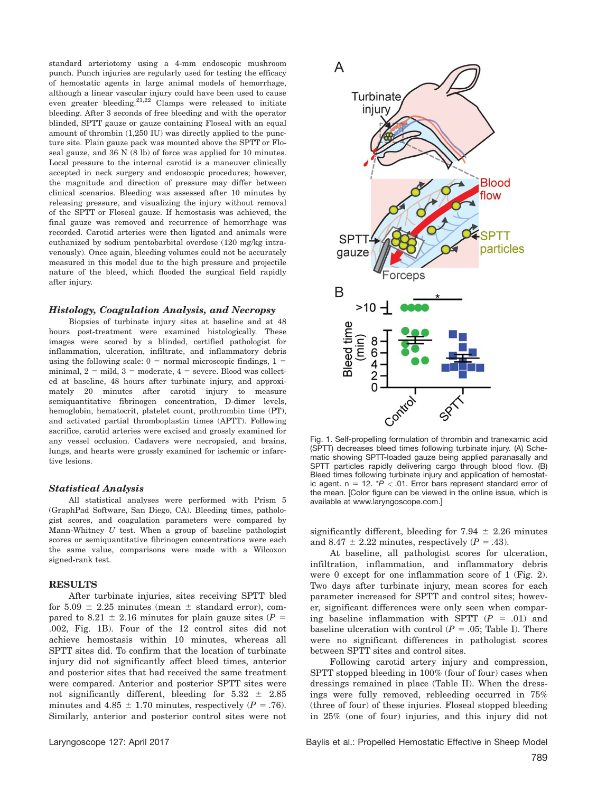standard arteriotomy using a 4-mm endoscopic mushroom punch. Punch injuries are regularly used for testing the efficacy of hemostatic agents in large animal models of hemorrhage, although a linear vascular injury could have been used to cause even greater bleeding. $^{21,22}$  Clamps were released to initiate bleeding. After 3 seconds of free bleeding and with the operator blinded, SPTT gauze or gauze containing Floseal with an equal amount of thrombin (1,250 IU) was directly applied to the puncture site. Plain gauze pack was mounted above the SPTT or Floseal gauze, and 36 N (8 lb) of force was applied for 10 minutes. Local pressure to the internal carotid is a maneuver clinically accepted in neck surgery and endoscopic procedures; however, the magnitude and direction of pressure may differ between clinical scenarios. Bleeding was assessed after 10 minutes by releasing pressure, and visualizing the injury without removal of the SPTT or Floseal gauze. If hemostasis was achieved, the final gauze was removed and recurrence of hemorrhage was recorded. Carotid arteries were then ligated and animals were euthanized by sodium pentobarbital overdose (120 mg/kg intravenously). Once again, bleeding volumes could not be accurately measured in this model due to the high pressure and projectile nature of the bleed, which flooded the surgical field rapidly after injury.

#### Histology, Coagulation Analysis, and Necropsy

Biopsies of turbinate injury sites at baseline and at 48 hours post-treatment were examined histologically. These images were scored by a blinded, certified pathologist for inflammation, ulceration, infiltrate, and inflammatory debris using the following scale:  $0 = normal$  microscopic findings,  $1 =$ minimal,  $2 =$  mild,  $3 =$  moderate,  $4 =$  severe. Blood was collected at baseline, 48 hours after turbinate injury, and approximately 20 minutes after carotid injury to measure semiquantitative fibrinogen concentration, D-dimer levels, hemoglobin, hematocrit, platelet count, prothrombin time (PT), and activated partial thromboplastin times (APTT). Following sacrifice, carotid arteries were excised and grossly examined for any vessel occlusion. Cadavers were necropsied, and brains, lungs, and hearts were grossly examined for ischemic or infarctive lesions.

### Statistical Analysis

All statistical analyses were performed with Prism 5 (GraphPad Software, San Diego, CA). Bleeding times, pathologist scores, and coagulation parameters were compared by Mann-Whitney  $U$  test. When a group of baseline pathologist scores or semiquantitative fibrinogen concentrations were each the same value, comparisons were made with a Wilcoxon signed-rank test.

## RESULTS

After turbinate injuries, sites receiving SPTT bled for  $5.09 \pm 2.25$  minutes (mean  $\pm$  standard error), compared to 8.21  $\pm$  2.16 minutes for plain gauze sites (P = .002, Fig. 1B). Four of the 12 control sites did not achieve hemostasis within 10 minutes, whereas all SPTT sites did. To confirm that the location of turbinate injury did not significantly affect bleed times, anterior and posterior sites that had received the same treatment were compared. Anterior and posterior SPTT sites were not significantly different, bleeding for  $5.32 \pm 2.85$ minutes and  $4.85 \pm 1.70$  minutes, respectively ( $P = .76$ ). Similarly, anterior and posterior control sites were not



Fig. 1. Self-propelling formulation of thrombin and tranexamic acid (SPTT) decreases bleed times following turbinate injury. (A) Schematic showing SPTT-loaded gauze being applied paranasally and SPTT particles rapidly delivering cargo through blood flow. (B) Bleed times following turbinate injury and application of hemostatic agent. n = 12.  $^{\ast}P$  < .01. Error bars represent standard error of the mean. [Color figure can be viewed in the online issue, which is available at [www.laryngoscope.com](http://www.laryngoscope.com).]

significantly different, bleeding for 7.94  $\pm$  2.26 minutes and 8.47  $\pm$  2.22 minutes, respectively (P = .43).

At baseline, all pathologist scores for ulceration, infiltration, inflammation, and inflammatory debris were 0 except for one inflammation score of 1 (Fig. 2). Two days after turbinate injury, mean scores for each parameter increased for SPTT and control sites; however, significant differences were only seen when comparing baseline inflammation with SPTT  $(P = .01)$  and baseline ulceration with control  $(P = .05;$  Table I). There were no significant differences in pathologist scores between SPTT sites and control sites.

Following carotid artery injury and compression, SPTT stopped bleeding in 100% (four of four) cases when dressings remained in place (Table II). When the dressings were fully removed, rebleeding occurred in 75% (three of four) of these injuries. Floseal stopped bleeding in 25% (one of four) injuries, and this injury did not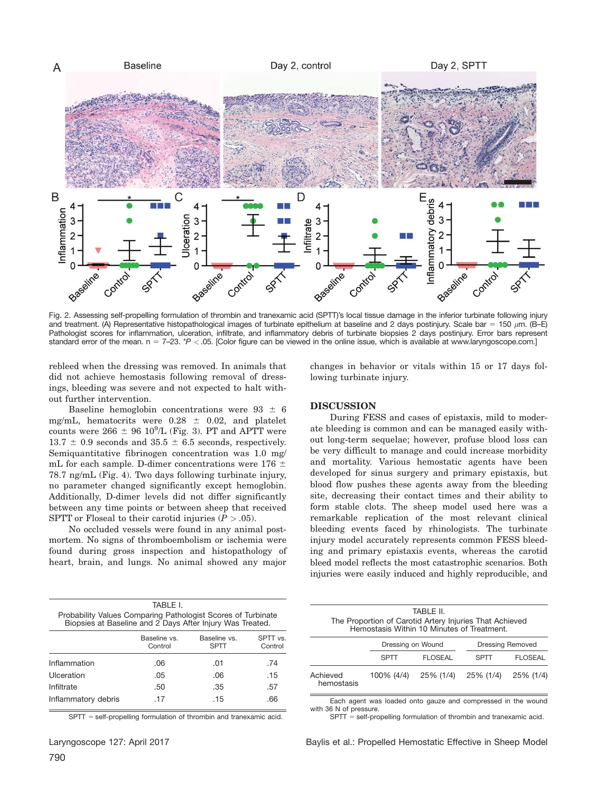

Fig. 2. Assessing self-propelling formulation of thrombin and tranexamic acid (SPTT)'s local tissue damage in the inferior turbinate following injury and treatment. (A) Representative histopathological images of turbinate epithelium at baseline and 2 days postinjury. Scale bar = 150  $\mu$ m. (B–E) Pathologist scores for inflammation, ulceration, infiltrate, and inflammatory debris of turbinate biopsies 2 days postinjury. Error bars represent standard error of the mean.  $n = 7-23$ . \*P < .05. [Color figure can be viewed in the online issue, which is available at [www.laryngoscope.com.](http://www.laryngoscope.com)]

rebleed when the dressing was removed. In animals that did not achieve hemostasis following removal of dressings, bleeding was severe and not expected to halt without further intervention.

Baseline hemoglobin concentrations were  $93 \pm 6$ mg/mL, hematocrits were  $0.28 \pm 0.02$ , and platelet counts were  $266 \pm 96$   $10^9$ /L (Fig. 3). PT and APTT were  $13.7 \pm 0.9$  seconds and  $35.5 \pm 6.5$  seconds, respectively. Semiquantitative fibrinogen concentration was 1.0 mg/ mL for each sample. D-dimer concentrations were 176  $\pm$ 78.7 ng/mL (Fig. 4). Two days following turbinate injury, no parameter changed significantly except hemoglobin. Additionally, D-dimer levels did not differ significantly between any time points or between sheep that received SPTT or Floseal to their carotid injuries  $(P > .05)$ .

No occluded vessels were found in any animal postmortem. No signs of thromboembolism or ischemia were found during gross inspection and histopathology of heart, brain, and lungs. No animal showed any major

changes in behavior or vitals within 15 or 17 days following turbinate injury.

## DISCUSSION

During FESS and cases of epistaxis, mild to moderate bleeding is common and can be managed easily without long-term sequelae; however, profuse blood loss can be very difficult to manage and could increase morbidity and mortality. Various hemostatic agents have been developed for sinus surgery and primary epistaxis, but blood flow pushes these agents away from the bleeding site, decreasing their contact times and their ability to form stable clots. The sheep model used here was a remarkable replication of the most relevant clinical bleeding events faced by rhinologists. The turbinate injury model accurately represents common FESS bleeding and primary epistaxis events, whereas the carotid bleed model reflects the most catastrophic scenarios. Both injuries were easily induced and highly reproducible, and

| TABI F L<br>Probability Values Comparing Pathologist Scores of Turbinate<br>Biopsies at Baseline and 2 Days After Injury Was Treated.<br>Baseline vs.<br>Baseline vs.<br>Control<br>SPTT<br>Inflammation<br>.74<br>.06<br>.01<br>Ulceration<br>.15<br>.05<br>.06<br>Infiltrate<br>.50<br>.35<br>.57<br>Inflammatory debris<br>.17<br>.15<br>.66 |  |                     |
|-------------------------------------------------------------------------------------------------------------------------------------------------------------------------------------------------------------------------------------------------------------------------------------------------------------------------------------------------|--|---------------------|
|                                                                                                                                                                                                                                                                                                                                                 |  |                     |
|                                                                                                                                                                                                                                                                                                                                                 |  | SPTT vs.<br>Control |
|                                                                                                                                                                                                                                                                                                                                                 |  |                     |
|                                                                                                                                                                                                                                                                                                                                                 |  |                     |
|                                                                                                                                                                                                                                                                                                                                                 |  |                     |
|                                                                                                                                                                                                                                                                                                                                                 |  |                     |

 $SPTT = self-propelling$  formulation of thrombin and tranexamic acid.

|                                                                                                       |                   | TABI F II.     |                         |                |  |
|-------------------------------------------------------------------------------------------------------|-------------------|----------------|-------------------------|----------------|--|
| The Proportion of Carotid Artery Injuries That Achieved<br>Hemostasis Within 10 Minutes of Treatment. |                   |                |                         |                |  |
|                                                                                                       | Dressing on Wound |                | <b>Dressing Removed</b> |                |  |
|                                                                                                       | <b>SPTT</b>       | <b>FLOSEAL</b> | SPTT                    | <b>FLOSEAL</b> |  |
| Achieved<br>hemostasis                                                                                | 100% (4/4)        | 25% (1/4)      | 25% (1/4)               | 25% (1/4)      |  |

Each agent was loaded onto gauze and compressed in the wound with 36 N of pressure.

 $SPTT = self-propelling$  formulation of thrombin and tranexamic acid.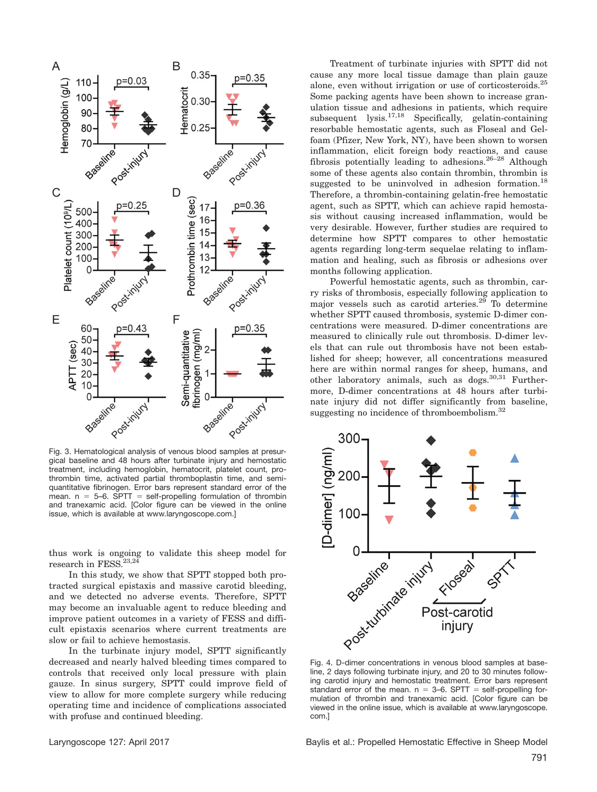

Fig. 3. Hematological analysis of venous blood samples at presurgical baseline and 48 hours after turbinate injury and hemostatic treatment, including hemoglobin, hematocrit, platelet count, prothrombin time, activated partial thromboplastin time, and semiquantitative fibrinogen. Error bars represent standard error of the mean.  $n = 5-6$ . SPTT = self-propelling formulation of thrombin and tranexamic acid. [Color figure can be viewed in the online issue, which is available at [www.laryngoscope.com](http://www.laryngoscope.com).]

thus work is ongoing to validate this sheep model for research in FESS.<sup>23,24</sup>

In this study, we show that SPTT stopped both protracted surgical epistaxis and massive carotid bleeding, and we detected no adverse events. Therefore, SPTT may become an invaluable agent to reduce bleeding and improve patient outcomes in a variety of FESS and difficult epistaxis scenarios where current treatments are slow or fail to achieve hemostasis.

In the turbinate injury model, SPTT significantly decreased and nearly halved bleeding times compared to controls that received only local pressure with plain gauze. In sinus surgery, SPTT could improve field of view to allow for more complete surgery while reducing operating time and incidence of complications associated with profuse and continued bleeding.

Treatment of turbinate injuries with SPTT did not cause any more local tissue damage than plain gauze alone, even without irrigation or use of corticosteroids.<sup>25</sup> Some packing agents have been shown to increase granulation tissue and adhesions in patients, which require subsequent lysis.17,18 Specifically, gelatin-containing resorbable hemostatic agents, such as Floseal and Gelfoam (Pfizer, New York, NY), have been shown to worsen inflammation, elicit foreign body reactions, and cause fibrosis potentially leading to adhesions.26–28 Although some of these agents also contain thrombin, thrombin is suggested to be uninvolved in adhesion formation.<sup>18</sup> Therefore, a thrombin-containing gelatin-free hemostatic agent, such as SPTT, which can achieve rapid hemostasis without causing increased inflammation, would be very desirable. However, further studies are required to determine how SPTT compares to other hemostatic agents regarding long-term sequelae relating to inflammation and healing, such as fibrosis or adhesions over months following application.

Powerful hemostatic agents, such as thrombin, carry risks of thrombosis, especially following application to major vessels such as carotid arteries.29 To determine whether SPTT caused thrombosis, systemic D-dimer concentrations were measured. D-dimer concentrations are measured to clinically rule out thrombosis. D-dimer levels that can rule out thrombosis have not been established for sheep; however, all concentrations measured here are within normal ranges for sheep, humans, and other laboratory animals, such as dogs.30,31 Furthermore, D-dimer concentrations at 48 hours after turbinate injury did not differ significantly from baseline, suggesting no incidence of thromboembolism. $32$ 



line, 2 days following turbinate injury, and 20 to 30 minutes following carotid injury and hemostatic treatment. Error bars represent standard error of the mean.  $n = 3-6$ . SPTT = self-propelling formulation of thrombin and tranexamic acid. [Color figure can be viewed in the online issue, which is available at [www.laryngoscope.](http://www.laryngoscope.com) [com.](http://www.laryngoscope.com)]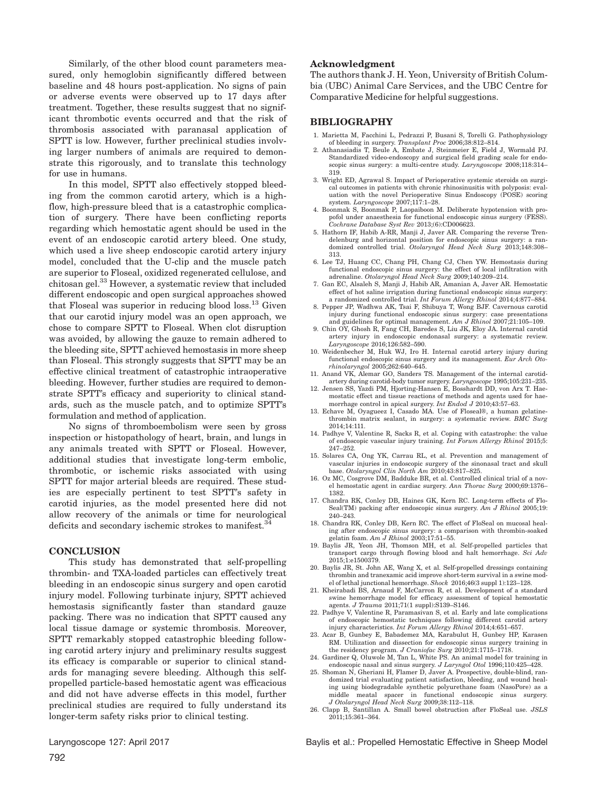Similarly, of the other blood count parameters measured, only hemoglobin significantly differed between baseline and 48 hours post-application. No signs of pain or adverse events were observed up to 17 days after treatment. Together, these results suggest that no significant thrombotic events occurred and that the risk of thrombosis associated with paranasal application of SPTT is low. However, further preclinical studies involving larger numbers of animals are required to demonstrate this rigorously, and to translate this technology for use in humans.

In this model, SPTT also effectively stopped bleeding from the common carotid artery, which is a highflow, high-pressure bleed that is a catastrophic complication of surgery. There have been conflicting reports regarding which hemostatic agent should be used in the event of an endoscopic carotid artery bleed. One study, which used a live sheep endoscopic carotid artery injury model, concluded that the U-clip and the muscle patch are superior to Floseal, oxidized regenerated cellulose, and chitosan gel.33 However, a systematic review that included different endoscopic and open surgical approaches showed that Floseal was superior in reducing blood loss.<sup>13</sup> Given that our carotid injury model was an open approach, we chose to compare SPTT to Floseal. When clot disruption was avoided, by allowing the gauze to remain adhered to the bleeding site, SPTT achieved hemostasis in more sheep than Floseal. This strongly suggests that SPTT may be an effective clinical treatment of catastrophic intraoperative bleeding. However, further studies are required to demonstrate SPTT's efficacy and superiority to clinical standards, such as the muscle patch, and to optimize SPTT's formulation and method of application.

No signs of thromboembolism were seen by gross inspection or histopathology of heart, brain, and lungs in any animals treated with SPTT or Floseal. However, additional studies that investigate long-term embolic, thrombotic, or ischemic risks associated with using SPTT for major arterial bleeds are required. These studies are especially pertinent to test SPTT's safety in carotid injuries, as the model presented here did not allow recovery of the animals or time for neurological deficits and secondary ischemic strokes to manifest.<sup>34</sup>

## **CONCLUSION**

This study has demonstrated that self-propelling thrombin- and TXA-loaded particles can effectively treat bleeding in an endoscopic sinus surgery and open carotid injury model. Following turbinate injury, SPTT achieved hemostasis significantly faster than standard gauze packing. There was no indication that SPTT caused any local tissue damage or systemic thrombosis. Moreover, SPTT remarkably stopped catastrophic bleeding following carotid artery injury and preliminary results suggest its efficacy is comparable or superior to clinical standards for managing severe bleeding. Although this selfpropelled particle-based hemostatic agent was efficacious and did not have adverse effects in this model, further preclinical studies are required to fully understand its longer-term safety risks prior to clinical testing.

## Acknowledgment

The authors thank J. H. Yeon, University of British Columbia (UBC) Animal Care Services, and the UBC Centre for Comparative Medicine for helpful suggestions.

## BIBLIOGRAPHY

- 1. Marietta M, Facchini L, Pedrazzi P, Busani S, Torelli G. Pathophysiology of bleeding in surgery. Transplant Proc 2006;38:812–814.
- 2. Athanasiadis T, Beule A, Embate J, Steinmeier E, Field J, Wormald PJ. Standardized video-endoscopy and surgical field grading scale for endoscopic sinus surgery: a multi-centre study. Laryngoscope 2008;118:314-319.
- 3. Wright ED, Agrawal S. Impact of Perioperative systemic steroids on surgical outcomes in patients with chronic rhinosinusitis with polyposis: evaluation with the novel Perioperative Sinus Endoscopy (POSE) scoring system. Laryngoscope 2007;117:1–28.
- 4. Boonmak S, Boonmak P, Laopaiboon M. Deliberate hypotension with propofol under anaesthesia for functional endoscopic sinus surgery (FESS). Cochrane Database Syst Rev 2013;(6):CD006623.
- 5. Hathorn IF, Habib A-RR, Manji J, Javer AR. Comparing the reverse Trendelenburg and horizontal position for endoscopic sinus surgery: a randomized controlled trial. Otolaryngol Head Neck Surg 2013;148:308– 313.
- 6. Lee TJ, Huang CC, Chang PH, Chang CJ, Chen YW. Hemostasis during functional endoscopic sinus surgery: the effect of local infiltration with adrenaline. Otolaryngol Head Neck Surg 2009;140:209–214.
- 7. Gan EC, Alsaleh S, Manji J, Habib AR, Amanian A, Javer AR. Hemostatic effect of hot saline irrigation during functional endoscopic sinus surgery: a randomized controlled trial. Int Forum Allergy Rhinol 2014;4:877–884.
- 8. Pepper JP, Wadhwa AK, Tsai F, Shibuya T, Wong BJF. Cavernous carotid injury during functional endoscopic sinus surgery: case presentations and guidelines for optimal management. Am J Rhinol 2007;21:105–109.
- 9. Chin OY, Ghosh R, Fang CH, Baredes S, Liu JK, Eloy JA. Internal carotid artery injury in endoscopic endonasal surgery: a systematic review. Laryngoscope 2016;126:582–590.
- 10. Weidenbecher M, Huk WJ, Iro H. Internal carotid artery injury during functional endoscopic sinus surgery and its management. Eur Arch Otorhinolaryngol 2005;262:640–645.
- 11. Anand VK, Alemar GO, Sanders TS. Management of the internal carotid-
- artery during carotid-body tumor surgery. *Laryngoscope* 1995;105:231–235.<br>12. Jensen SS, Yazdi PM, Hjorting-Hansen E, Bosshardt DD, von Arx T. Haemostatic effect and tissue reactions of methods and agents used for haemorrhage control in apical surgery. Int Endod J 2010;43:57–63.
- 13. Echave M, Oyagueez I, Casado MA. Use of Floseal®, a human gelatinethrombin matrix sealant, in surgery: a systematic review. BMC Surg 2014;14:111.
- 14. Padhye V, Valentine R, Sacks R, et al. Coping with catastrophe: the value of endoscopic vascular injury training. *Int Forum Allergy Rhinol* 2015;5: 247–252.
- 15. Solares CA, Ong YK, Carrau RL, et al. Prevention and management of vascular injuries in endoscopic surgery of the sinonasal tract and skull base. Otolaryngol Clin North Am 2010;43:817–825.
- 16. Oz MC, Cosgrove DM, Badduke BR, et al. Controlled clinical trial of a novel hemostatic agent in cardiac surgery. Ann Thorac Surg 2000;69:1376– 1382.
- 17. Chandra RK, Conley DB, Haines GK, Kern RC. Long-term effects of Flo-Seal(TM) packing after endoscopic sinus surgery. Am J Rhinol 2005;19: 240–243.
- 18. Chandra RK, Conley DB, Kern RC. The effect of FloSeal on mucosal healing after endoscopic sinus surgery: a comparison with thrombin-soaked gelatin foam. Am J Rhinol 2003;17:51–55.
- 19. Baylis JR, Yeon JH, Thomson MH, et al. Self-propelled particles that transport cargo through flowing blood and halt hemorrhage. Sci Adv 2015;1:e1500379.
- 20. Baylis JR, St. John AE, Wang X, et al. Self-propelled dressings containing thrombin and tranexamic acid improve short-term survival in a swine model of lethal junctional hemorrhage. Shock 2016;46(3 suppl 1):123–128.
- 21. Kheirabadi BS, Arnaud F, McCarron R, et al. Development of a standard swine hemorrhage model for efficacy assessment of topical hemostatic agents. J Trauma 2011;71(1 suppl):S139–S146.
- 22. Padhye V, Valentine R, Paramasivan S, et al. Early and late complications of endoscopic hemostatic techniques following different carotid artery injury characteristics. Int Forum Allergy Rhinol 2014;4:651–657.
- 23. Acar B, Gunbey E, Babademez MA, Karabulut H, Gunbey HP, Karasen RM. Utilization and dissection for endoscopic sinus surgery training in the residency program. J Craniofac Surg 2010;21:1715–1718.
- 24. Gardiner Q, Oluwole M, Tan L, White PS. An animal model for training in endoscopic nasal and sinus surgery. J Laryngol Otol 1996;110:425–428.
- 25. Shoman N, Gheriani H, Flamer D, Javer A. Prospective, double-blind, randomized trial evaluating patient satisfaction, bleeding, and wound healing using biodegradable synthetic polyurethane foam (NasoPore) as a middle meatal spacer in functional endoscopic sinus surgery. J Otolaryngol Head Neck Surg 2009;38:112–118.
- 26. Clapp B, Santillan A. Small bowel obstruction after FloSeal use. JSLS 2011;15:361–364.